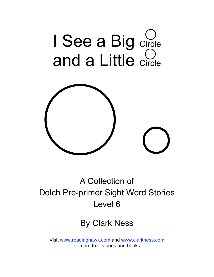



### A Collection of Dolch Pre-primer Sight Word Stories Level 6

#### By Clark Ness

Visit [www.readinghawk.com](http://www.readinghawk.com) and [www.clarkness.com](http://www.clarkness.com) for more free stories and books.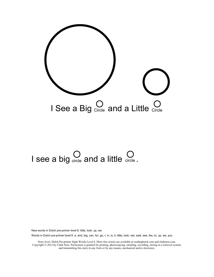

# I see a big circle and a little circle.

New words in Dolch pre-primer level 6: little, look, up, we

Words in Dolch pre-primer level 6: a, and, big, can, for, go, I, in, is, it, little, look, red, said, see, the, to, up, we, you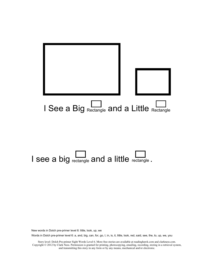

## I see a big  $\sum_{\text{rectangle}}$  and a little rectangle.

New words in Dolch pre-primer level 6: little, look, up, we

Words in Dolch pre-primer level 6: a, and, big, can, for, go, I, in, is, it, little, look, red, said, see, the, to, up, we, you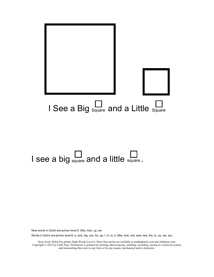

# I see a big  $\sum_{\text{square}}$  and a little  $\sum_{\text{square}}$ .

New words in Dolch pre-primer level 6: little, look, up, we

Words in Dolch pre-primer level 6: a, and, big, can, for, go, I, in, is, it, little, look, red, said, see, the, to, up, we, you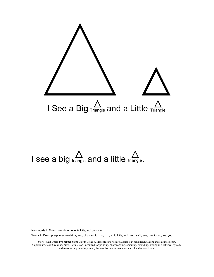

# I see a big  $\sum_{\text{triangle}}$  and a little triangle.

New words in Dolch pre-primer level 6: little, look, up, we

Words in Dolch pre-primer level 6: a, and, big, can, for, go, I, in, is, it, little, look, red, said, see, the, to, up, we, you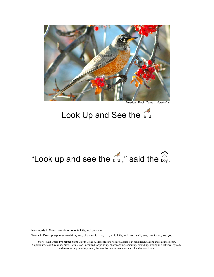

American Robin *Turdus migratorius* 

#### Look Up and See the Bird

## "Look up and see the  $\stackrel{\sim}{{\mathsf{bird}}}$  ," said the  $\stackrel{\infty}{{\mathsf{boy}}}$ .

New words in Dolch pre-primer level 6: little, look, up, we

Words in Dolch pre-primer level 6: a, and, big, can, for, go, I, in, is, it, little, look, red, said, see, the, to, up, we, you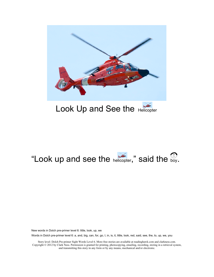

#### Look Up and See the Helicopter

### "Look up and see the  $h$ elicopter," said the  $\frac{100}{100}$ .

New words in Dolch pre-primer level 6: little, look, up, we

Words in Dolch pre-primer level 6: a, and, big, can, for, go, I, in, is, it, little, look, red, said, see, the, to, up, we, you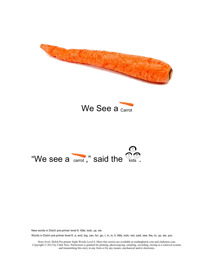





New words in Dolch pre-primer level 6: little, look, up, we

Words in Dolch pre-primer level 6: a, and, big, can, for, go, I, in, is, it, little, look, red, said, see, the, to, up, we, you